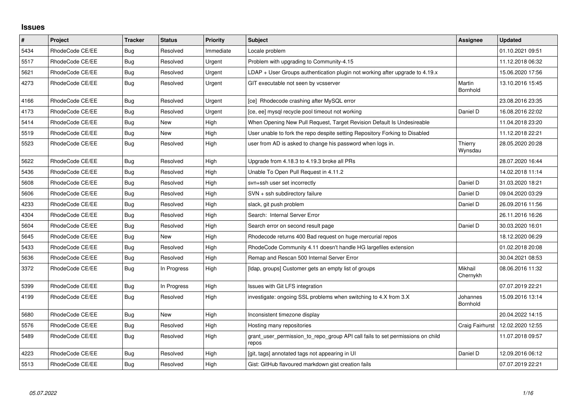## **Issues**

| $\vert$ # | Project         | <b>Tracker</b> | <b>Status</b> | <b>Priority</b> | <b>Subject</b>                                                                          | <b>Assignee</b>      | <b>Updated</b>   |
|-----------|-----------------|----------------|---------------|-----------------|-----------------------------------------------------------------------------------------|----------------------|------------------|
| 5434      | RhodeCode CE/EE | Bug            | Resolved      | Immediate       | Locale problem                                                                          |                      | 01.10.2021 09:51 |
| 5517      | RhodeCode CE/EE | <b>Bug</b>     | Resolved      | Urgent          | Problem with upgrading to Community-4.15                                                |                      | 11.12.2018 06:32 |
| 5621      | RhodeCode CE/EE | Bug            | Resolved      | Urgent          | $LDAP + User Groups$ authentication plugin not working after upgrade to 4.19. $x$       |                      | 15.06.2020 17:56 |
| 4273      | RhodeCode CE/EE | <b>Bug</b>     | Resolved      | Urgent          | GIT executable not seen by vcsserver                                                    | Martin<br>Bornhold   | 13.10.2016 15:45 |
| 4166      | RhodeCode CE/EE | <b>Bug</b>     | Resolved      | Urgent          | [ce] Rhodecode crashing after MySQL error                                               |                      | 23.08.2016 23:35 |
| 4173      | RhodeCode CE/EE | <b>Bug</b>     | Resolved      | Urgent          | [ce, ee] mysql recycle pool timeout not working                                         | Daniel D             | 16.08.2016 22:02 |
| 5414      | RhodeCode CE/EE | Bug            | <b>New</b>    | High            | When Opening New Pull Request, Target Revision Default Is Undesireable                  |                      | 11.04.2018 23:20 |
| 5519      | RhodeCode CE/EE | Bug            | <b>New</b>    | High            | User unable to fork the repo despite setting Repository Forking to Disabled             |                      | 11.12.2018 22:21 |
| 5523      | RhodeCode CE/EE | Bug            | Resolved      | High            | user from AD is asked to change his password when logs in.                              | Thierry<br>Wynsdau   | 28.05.2020 20:28 |
| 5622      | RhodeCode CE/EE | Bug            | Resolved      | High            | Upgrade from 4.18.3 to 4.19.3 broke all PRs                                             |                      | 28.07.2020 16:44 |
| 5436      | RhodeCode CE/EE | Bug            | Resolved      | High            | Unable To Open Pull Request in 4.11.2                                                   |                      | 14.02.2018 11:14 |
| 5608      | RhodeCode CE/EE | Bug            | Resolved      | High            | svn+ssh user set incorrectly                                                            | Daniel D             | 31.03.2020 18:21 |
| 5606      | RhodeCode CE/EE | Bug            | Resolved      | High            | SVN + ssh subdirectory failure                                                          | Daniel D             | 09.04.2020 03:29 |
| 4233      | RhodeCode CE/EE | Bug            | Resolved      | High            | slack, git push problem                                                                 | Daniel D             | 26.09.2016 11:56 |
| 4304      | RhodeCode CE/EE | Bug            | Resolved      | High            | Search: Internal Server Error                                                           |                      | 26.11.2016 16:26 |
| 5604      | RhodeCode CE/EE | Bug            | Resolved      | High            | Search error on second result page                                                      | Daniel D             | 30.03.2020 16:01 |
| 5645      | RhodeCode CE/EE | <b>Bug</b>     | <b>New</b>    | High            | Rhodecode returns 400 Bad request on huge mercurial repos                               |                      | 18.12.2020 06:29 |
| 5433      | RhodeCode CE/EE | Bug            | Resolved      | High            | RhodeCode Community 4.11 doesn't handle HG largefiles extension                         |                      | 01.02.2018 20:08 |
| 5636      | RhodeCode CE/EE | <b>Bug</b>     | Resolved      | High            | Remap and Rescan 500 Internal Server Error                                              |                      | 30.04.2021 08:53 |
| 3372      | RhodeCode CE/EE | Bug            | In Progress   | High            | [Idap, groups] Customer gets an empty list of groups                                    | Mikhail<br>Chernykh  | 08.06.2016 11:32 |
| 5399      | RhodeCode CE/EE | Bug            | In Progress   | High            | Issues with Git LFS integration                                                         |                      | 07.07.2019 22:21 |
| 4199      | RhodeCode CE/EE | Bug            | Resolved      | High            | investigate: ongoing SSL problems when switching to 4.X from 3.X                        | Johannes<br>Bornhold | 15.09.2016 13:14 |
| 5680      | RhodeCode CE/EE | Bug            | <b>New</b>    | High            | Inconsistent timezone display                                                           |                      | 20.04.2022 14:15 |
| 5576      | RhodeCode CE/EE | Bug            | Resolved      | High            | Hosting many repositories                                                               | Craig Fairhurst      | 12.02.2020 12:55 |
| 5489      | RhodeCode CE/EE | Bug            | Resolved      | High            | grant_user_permission_to_repo_group API call fails to set permissions on child<br>repos |                      | 11.07.2018 09:57 |
| 4223      | RhodeCode CE/EE | Bug            | Resolved      | High            | [git, tags] annotated tags not appearing in UI                                          | Daniel D             | 12.09.2016 06:12 |
| 5513      | RhodeCode CE/EE | Bug            | Resolved      | High            | Gist: GitHub flavoured markdown gist creation fails                                     |                      | 07.07.2019 22:21 |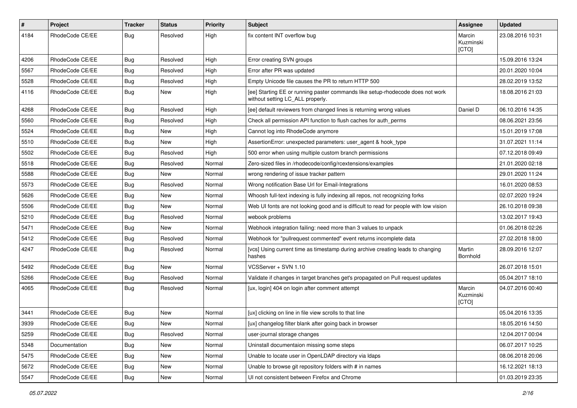| $\pmb{\#}$ | Project         | <b>Tracker</b> | <b>Status</b> | <b>Priority</b> | <b>Subject</b>                                                                                                     | Assignee                     | <b>Updated</b>   |
|------------|-----------------|----------------|---------------|-----------------|--------------------------------------------------------------------------------------------------------------------|------------------------------|------------------|
| 4184       | RhodeCode CE/EE | Bug            | Resolved      | High            | fix content INT overflow bug                                                                                       | Marcin<br>Kuzminski<br>[CTO] | 23.08.2016 10:31 |
| 4206       | RhodeCode CE/EE | Bug            | Resolved      | High            | Error creating SVN groups                                                                                          |                              | 15.09.2016 13:24 |
| 5567       | RhodeCode CE/EE | Bug            | Resolved      | High            | Error after PR was updated                                                                                         |                              | 20.01.2020 10:04 |
| 5528       | RhodeCode CE/EE | <b>Bug</b>     | Resolved      | High            | Empty Unicode file causes the PR to return HTTP 500                                                                |                              | 28.02.2019 13:52 |
| 4116       | RhodeCode CE/EE | Bug            | New           | High            | [ee] Starting EE or running paster commands like setup-rhodecode does not work<br>without setting LC ALL properly. |                              | 18.08.2016 21:03 |
| 4268       | RhodeCode CE/EE | Bug            | Resolved      | High            | [ee] default reviewers from changed lines is returning wrong values                                                | Daniel D                     | 06.10.2016 14:35 |
| 5560       | RhodeCode CE/EE | Bug            | Resolved      | High            | Check all permission API function to flush caches for auth_perms                                                   |                              | 08.06.2021 23:56 |
| 5524       | RhodeCode CE/EE | Bug            | New           | High            | Cannot log into RhodeCode anymore                                                                                  |                              | 15.01.2019 17:08 |
| 5510       | RhodeCode CE/EE | <b>Bug</b>     | New           | High            | AssertionError: unexpected parameters: user_agent & hook_type                                                      |                              | 31.07.2021 11:14 |
| 5502       | RhodeCode CE/EE | Bug            | Resolved      | High            | 500 error when using multiple custom branch permissions                                                            |                              | 07.12.2018 09:49 |
| 5518       | RhodeCode CE/EE | <b>Bug</b>     | Resolved      | Normal          | Zero-sized files in /rhodecode/config/rcextensions/examples                                                        |                              | 21.01.2020 02:18 |
| 5588       | RhodeCode CE/EE | <b>Bug</b>     | <b>New</b>    | Normal          | wrong rendering of issue tracker pattern                                                                           |                              | 29.01.2020 11:24 |
| 5573       | RhodeCode CE/EE | <b>Bug</b>     | Resolved      | Normal          | Wrong notification Base Url for Email-Integrations                                                                 |                              | 16.01.2020 08:53 |
| 5626       | RhodeCode CE/EE | <b>Bug</b>     | New           | Normal          | Whoosh full-text indexing is fully indexing all repos, not recognizing forks                                       |                              | 02.07.2020 19:24 |
| 5506       | RhodeCode CE/EE | Bug            | New           | Normal          | Web UI fonts are not looking good and is difficult to read for people with low vision                              |                              | 26.10.2018 09:38 |
| 5210       | RhodeCode CE/EE | <b>Bug</b>     | Resolved      | Normal          | webook problems                                                                                                    |                              | 13.02.2017 19:43 |
| 5471       | RhodeCode CE/EE | Bug            | <b>New</b>    | Normal          | Webhook integration failing: need more than 3 values to unpack                                                     |                              | 01.06.2018 02:26 |
| 5412       | RhodeCode CE/EE | Bug            | Resolved      | Normal          | Webhook for "pullrequest commented" event returns incomplete data                                                  |                              | 27.02.2018 18:00 |
| 4247       | RhodeCode CE/EE | Bug            | Resolved      | Normal          | [vcs] Using current time as timestamp during archive creating leads to changing<br>hashes                          | Martin<br>Bornhold           | 28.09.2016 12:07 |
| 5492       | RhodeCode CE/EE | Bug            | <b>New</b>    | Normal          | VCSServer + SVN 1.10                                                                                               |                              | 26.07.2018 15:01 |
| 5266       | RhodeCode CE/EE | Bug            | Resolved      | Normal          | Validate if changes in target branches get's propagated on Pull request updates                                    |                              | 05.04.2017 18:10 |
| 4065       | RhodeCode CE/EE | <b>Bug</b>     | Resolved      | Normal          | [ux, login] 404 on login after comment attempt                                                                     | Marcin<br>Kuzminski<br>[CTO] | 04.07.2016 00:40 |
| 3441       | RhodeCode CE/EE | <b>Bug</b>     | New           | Normal          | [ux] clicking on line in file view scrolls to that line                                                            |                              | 05.04.2016 13:35 |
| 3939       | RhodeCode CE/EE | Bug            | <b>New</b>    | Normal          | [ux] changelog filter blank after going back in browser                                                            |                              | 18.05.2016 14:50 |
| 5259       | RhodeCode CE/EE | <b>Bug</b>     | Resolved      | Normal          | user-journal storage changes                                                                                       |                              | 12.04.2017 00:04 |
| 5348       | Documentation   | <b>Bug</b>     | New           | Normal          | Uninstall documentaion missing some steps                                                                          |                              | 06.07.2017 10:25 |
| 5475       | RhodeCode CE/EE | <b>Bug</b>     | New           | Normal          | Unable to locate user in OpenLDAP directory via Idaps                                                              |                              | 08.06.2018 20:06 |
| 5672       | RhodeCode CE/EE | Bug            | New           | Normal          | Unable to browse git repository folders with # in names                                                            |                              | 16.12.2021 18:13 |
| 5547       | RhodeCode CE/EE | Bug            | New           | Normal          | UI not consistent between Firefox and Chrome                                                                       |                              | 01.03.2019 23:35 |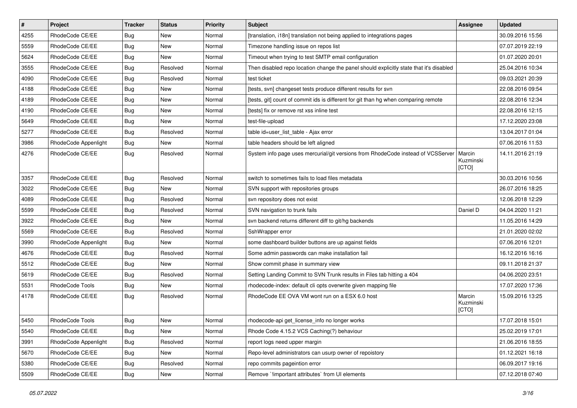| $\vert$ # | Project                | <b>Tracker</b> | <b>Status</b> | Priority | <b>Subject</b>                                                                          | <b>Assignee</b>              | <b>Updated</b>   |
|-----------|------------------------|----------------|---------------|----------|-----------------------------------------------------------------------------------------|------------------------------|------------------|
| 4255      | RhodeCode CE/EE        | Bug            | New           | Normal   | [translation, i18n] translation not being applied to integrations pages                 |                              | 30.09.2016 15:56 |
| 5559      | RhodeCode CE/EE        | Bug            | <b>New</b>    | Normal   | Timezone handling issue on repos list                                                   |                              | 07.07.2019 22:19 |
| 5624      | RhodeCode CE/EE        | Bug            | New           | Normal   | Timeout when trying to test SMTP email configuration                                    |                              | 01.07.2020 20:01 |
| 3555      | RhodeCode CE/EE        | Bug            | Resolved      | Normal   | Then disabled repo location change the panel should explicitly state that it's disabled |                              | 25.04.2016 10:34 |
| 4090      | RhodeCode CE/EE        | Bug            | Resolved      | Normal   | test ticket                                                                             |                              | 09.03.2021 20:39 |
| 4188      | RhodeCode CE/EE        | Bug            | New           | Normal   | [tests, svn] changeset tests produce different results for svn                          |                              | 22.08.2016 09:54 |
| 4189      | RhodeCode CE/EE        | Bug            | <b>New</b>    | Normal   | [tests, git] count of commit ids is different for git than hg when comparing remote     |                              | 22.08.2016 12:34 |
| 4190      | RhodeCode CE/EE        | <b>Bug</b>     | New           | Normal   | [tests] fix or remove rst xss inline test                                               |                              | 22.08.2016 12:15 |
| 5649      | RhodeCode CE/EE        | Bug            | <b>New</b>    | Normal   | test-file-upload                                                                        |                              | 17.12.2020 23:08 |
| 5277      | RhodeCode CE/EE        | Bug            | Resolved      | Normal   | table id=user_list_table - Ajax error                                                   |                              | 13.04.2017 01:04 |
| 3986      | RhodeCode Appenlight   | <b>Bug</b>     | New           | Normal   | table headers should be left aligned                                                    |                              | 07.06.2016 11:53 |
| 4276      | RhodeCode CE/EE        | Bug            | Resolved      | Normal   | System info page uses mercurial/git versions from RhodeCode instead of VCSServer        | Marcin<br>Kuzminski<br>[CTO] | 14.11.2016 21:19 |
| 3357      | RhodeCode CE/EE        | Bug            | Resolved      | Normal   | switch to sometimes fails to load files metadata                                        |                              | 30.03.2016 10:56 |
| 3022      | RhodeCode CE/EE        | Bug            | <b>New</b>    | Normal   | SVN support with repositories groups                                                    |                              | 26.07.2016 18:25 |
| 4089      | RhodeCode CE/EE        | Bug            | Resolved      | Normal   | svn repository does not exist                                                           |                              | 12.06.2018 12:29 |
| 5599      | RhodeCode CE/EE        | Bug            | Resolved      | Normal   | SVN navigation to trunk fails                                                           | Daniel D                     | 04.04.2020 11:21 |
| 3922      | RhodeCode CE/EE        | Bug            | New           | Normal   | svn backend returns different diff to git/hg backends                                   |                              | 11.05.2016 14:29 |
| 5569      | RhodeCode CE/EE        | Bug            | Resolved      | Normal   | SshWrapper error                                                                        |                              | 21.01.2020 02:02 |
| 3990      | RhodeCode Appenlight   | Bug            | <b>New</b>    | Normal   | some dashboard builder buttons are up against fields                                    |                              | 07.06.2016 12:01 |
| 4676      | RhodeCode CE/EE        | Bug            | Resolved      | Normal   | Some admin passwords can make installation fail                                         |                              | 16.12.2016 16:16 |
| 5512      | RhodeCode CE/EE        | Bug            | <b>New</b>    | Normal   | Show commit phase in summary view                                                       |                              | 09.11.2018 21:37 |
| 5619      | RhodeCode CE/EE        | Bug            | Resolved      | Normal   | Setting Landing Commit to SVN Trunk results in Files tab hitting a 404                  |                              | 04.06.2020 23:51 |
| 5531      | RhodeCode Tools        | Bug            | <b>New</b>    | Normal   | rhodecode-index: default cli opts overwrite given mapping file                          |                              | 17.07.2020 17:36 |
| 4178      | RhodeCode CE/EE        | Bug            | Resolved      | Normal   | RhodeCode EE OVA VM wont run on a ESX 6.0 host                                          | Marcin<br>Kuzminski<br>[CTO] | 15.09.2016 13:25 |
| 5450      | <b>RhodeCode Tools</b> | <b>Bug</b>     | <b>New</b>    | Normal   | rhodecode-api get_license_info no longer works                                          |                              | 17.07.2018 15:01 |
| 5540      | RhodeCode CE/EE        | <b>Bug</b>     | New           | Normal   | Rhode Code 4.15.2 VCS Caching(?) behaviour                                              |                              | 25.02.2019 17:01 |
| 3991      | RhodeCode Appenlight   | Bug            | Resolved      | Normal   | report logs need upper margin                                                           |                              | 21.06.2016 18:55 |
| 5670      | RhodeCode CE/EE        | Bug            | New           | Normal   | Repo-level administrators can usurp owner of repoistory                                 |                              | 01.12.2021 16:18 |
| 5380      | RhodeCode CE/EE        | <b>Bug</b>     | Resolved      | Normal   | repo commits pageintion error                                                           |                              | 06.09.2017 19:16 |
| 5509      | RhodeCode CE/EE        | Bug            | New           | Normal   | Remove `!important attributes` from UI elements                                         |                              | 07.12.2018 07:40 |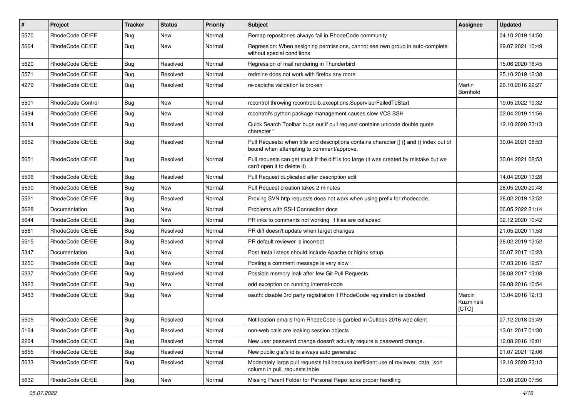| $\pmb{\#}$ | <b>Project</b>    | <b>Tracker</b> | <b>Status</b> | <b>Priority</b> | <b>Subject</b>                                                                                                                       | Assignee                     | <b>Updated</b>   |
|------------|-------------------|----------------|---------------|-----------------|--------------------------------------------------------------------------------------------------------------------------------------|------------------------------|------------------|
| 5570       | RhodeCode CE/EE   | <b>Bug</b>     | New           | Normal          | Remap repositories always fail in RhodeCode community                                                                                |                              | 04.10.2019 14:50 |
| 5664       | RhodeCode CE/EE   | Bug            | New           | Normal          | Regression: When assigning permissions, cannot see own group in auto-complete<br>without special conditions                          |                              | 29.07.2021 10:49 |
| 5620       | RhodeCode CE/EE   | Bug            | Resolved      | Normal          | Regression of mail rendering in Thunderbird                                                                                          |                              | 15.06.2020 16:45 |
| 5571       | RhodeCode CE/EE   | Bug            | Resolved      | Normal          | redmine does not work with firefox any more                                                                                          |                              | 25.10.2019 12:38 |
| 4279       | RhodeCode CE/EE   | Bug            | Resolved      | Normal          | re-captcha validation is broken                                                                                                      | Martin<br>Bornhold           | 26.10.2016 22:27 |
| 5501       | RhodeCode Control | <b>Bug</b>     | New           | Normal          | rccontrol throwing rccontrol.lib.exceptions.SupervisorFailedToStart                                                                  |                              | 19.05.2022 19:32 |
| 5494       | RhodeCode CE/EE   | Bug            | <b>New</b>    | Normal          | rccontrol's python package management causes slow VCS SSH                                                                            |                              | 02.04.2019 11:56 |
| 5634       | RhodeCode CE/EE   | Bug            | Resolved      | Normal          | Quick Search Toolbar bugs out if pull request contains unicode double quote<br>character "                                           |                              | 12.10.2020 23:13 |
| 5652       | RhodeCode CE/EE   | Bug            | Resolved      | Normal          | Pull Requests: when title and descriptions contains character [] {} and () index out of<br>bound when attempting to comment/approve. |                              | 30.04.2021 08:53 |
| 5651       | RhodeCode CE/EE   | Bug            | Resolved      | Normal          | Pull requests can get stuck if the diff is too large (it was created by mistake but we<br>can't open it to delete it)                |                              | 30.04.2021 08:53 |
| 5596       | RhodeCode CE/EE   | Bug            | Resolved      | Normal          | Pull Request duplicated after description edit                                                                                       |                              | 14.04.2020 13:28 |
| 5590       | RhodeCode CE/EE   | Bug            | New           | Normal          | Pull Request creation takes 2 minutes                                                                                                |                              | 28.05.2020 20:48 |
| 5521       | RhodeCode CE/EE   | Bug            | Resolved      | Normal          | Proxing SVN http requests does not work when using prefix for rhodecode.                                                             |                              | 28.02.2019 13:52 |
| 5628       | Documentation     | Bug            | New           | Normal          | Problems with SSH Connection docs                                                                                                    |                              | 06.05.2022 21:14 |
| 5644       | RhodeCode CE/EE   | <b>Bug</b>     | New           | Normal          | PR inks to comments not working if files are collapsed                                                                               |                              | 02.12.2020 10:42 |
| 5561       | RhodeCode CE/EE   | Bug            | Resolved      | Normal          | PR diff doesn't update when target changes                                                                                           |                              | 21.05.2020 11:53 |
| 5515       | RhodeCode CE/EE   | Bug            | Resolved      | Normal          | PR default reviewer is incorrect                                                                                                     |                              | 28.02.2019 13:52 |
| 5347       | Documentation     | Bug            | New           | Normal          | Post Install steps should include Apache or Nginx setup.                                                                             |                              | 06.07.2017 10:23 |
| 3250       | RhodeCode CE/EE   | Bug            | New           | Normal          | Posting a comment message is very slow !                                                                                             |                              | 17.03.2016 12:57 |
| 5337       | RhodeCode CE/EE   | <b>Bug</b>     | Resolved      | Normal          | Possible memory leak after few Git Pull Requests                                                                                     |                              | 08.08.2017 13:08 |
| 3923       | RhodeCode CE/EE   | Bug            | <b>New</b>    | Normal          | odd exception on running internal-code                                                                                               |                              | 09.08.2016 10:54 |
| 3483       | RhodeCode CE/EE   | Bug            | New           | Normal          | oauth: disable 3rd party registration if RhodeCode registration is disabled                                                          | Marcin<br>Kuzminski<br>[CTO] | 13.04.2016 12:13 |
| 5505       | RhodeCode CE/EE   | Bug            | Resolved      | Normal          | Notification emails from RhodeCode is garbled in Outlook 2016 web client                                                             |                              | 07.12.2018 09:49 |
| 5164       | RhodeCode CE/EE   | <b>Bug</b>     | Resolved      | Normal          | non-web calls are leaking session objects                                                                                            |                              | 13.01.2017 01:30 |
| 2264       | RhodeCode CE/EE   | Bug            | Resolved      | Normal          | New user password change doesn't actually require a password change.                                                                 |                              | 12.08.2016 16:01 |
| 5655       | RhodeCode CE/EE   | Bug            | Resolved      | Normal          | New public gist's id is always auto generated                                                                                        |                              | 01.07.2021 12:06 |
| 5633       | RhodeCode CE/EE   | <b>Bug</b>     | Resolved      | Normal          | Moderately large pull requests fail because inefficient use of reviewer data json<br>column in pull_requests table                   |                              | 12.10.2020 23:13 |
| 5632       | RhodeCode CE/EE   | Bug            | New           | Normal          | Missing Parent Folder for Personal Repo lacks proper handling                                                                        |                              | 03.08.2020 07:56 |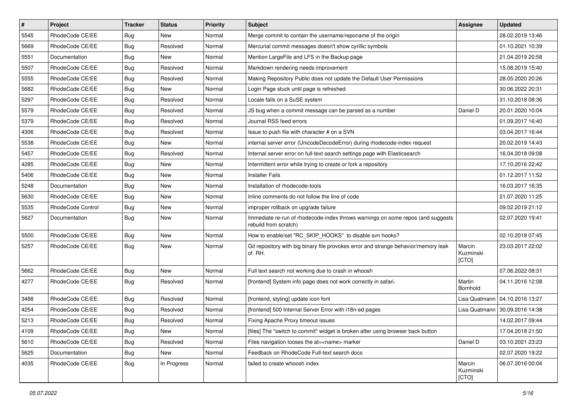| $\pmb{\#}$ | Project                  | <b>Tracker</b> | <b>Status</b> | <b>Priority</b> | <b>Subject</b>                                                                                           | Assignee                     | <b>Updated</b>                   |
|------------|--------------------------|----------------|---------------|-----------------|----------------------------------------------------------------------------------------------------------|------------------------------|----------------------------------|
| 5545       | RhodeCode CE/EE          | <b>Bug</b>     | New           | Normal          | Merge commit to contain the username/reponame of the origin                                              |                              | 28.02.2019 13:46                 |
| 5669       | RhodeCode CE/EE          | <b>Bug</b>     | Resolved      | Normal          | Mercurial commit messages doesn't show cyrillic symbols                                                  |                              | 01.10.2021 10:39                 |
| 5551       | Documentation            | Bug            | New           | Normal          | Mention LargeFile and LFS in the Backup page                                                             |                              | 21.04.2019 20:58                 |
| 5507       | RhodeCode CE/EE          | <b>Bug</b>     | Resolved      | Normal          | Markdown rendering needs improvement                                                                     |                              | 15.08.2019 15:40                 |
| 5555       | RhodeCode CE/EE          | <b>Bug</b>     | Resolved      | Normal          | Making Repository Public does not update the Default User Permissions                                    |                              | 28.05.2020 20:26                 |
| 5682       | RhodeCode CE/EE          | <b>Bug</b>     | New           | Normal          | Login Page stuck until page is refreshed                                                                 |                              | 30.06.2022 20:31                 |
| 5297       | RhodeCode CE/EE          | Bug            | Resolved      | Normal          | Locale fails on a SuSE system                                                                            |                              | 31.10.2018 08:36                 |
| 5579       | RhodeCode CE/EE          | <b>Bug</b>     | Resolved      | Normal          | JS bug when a commit message can be parsed as a number                                                   | Daniel D                     | 20.01.2020 10:04                 |
| 5379       | RhodeCode CE/EE          | <b>Bug</b>     | Resolved      | Normal          | Journal RSS feed errors                                                                                  |                              | 01.09.2017 16:40                 |
| 4306       | RhodeCode CE/EE          | Bug            | Resolved      | Normal          | Issue to push file with character # on a SVN                                                             |                              | 03.04.2017 16:44                 |
| 5538       | RhodeCode CE/EE          | <b>Bug</b>     | New           | Normal          | internal server error (UnicodeDecodeError) during rhodecode-index request                                |                              | 20.02.2019 14:43                 |
| 5457       | RhodeCode CE/EE          | <b>Bug</b>     | Resolved      | Normal          | Internal server error on full-text search settings page with Elasticsearch                               |                              | 16.04.2018 09:08                 |
| 4285       | RhodeCode CE/EE          | <b>Bug</b>     | New           | Normal          | Intermittent error while trying to create or fork a repository                                           |                              | 17.10.2016 22:42                 |
| 5406       | RhodeCode CE/EE          | Bug            | New           | Normal          | <b>Installer Fails</b>                                                                                   |                              | 01.12.2017 11:52                 |
| 5248       | Documentation            | <b>Bug</b>     | <b>New</b>    | Normal          | Installation of rhodecode-tools                                                                          |                              | 16.03.2017 16:35                 |
| 5630       | RhodeCode CE/EE          | <b>Bug</b>     | New           | Normal          | Inline comments do not follow the line of code                                                           |                              | 21.07.2020 11:25                 |
| 5535       | <b>RhodeCode Control</b> | <b>Bug</b>     | New           | Normal          | improper rollback on upgrade failure                                                                     |                              | 09.02.2019 21:12                 |
| 5627       | Documentation            | <b>Bug</b>     | New           | Normal          | Immediate re-run of rhodecode-index throws warnings on some repos (and suggests<br>rebuild from scratch) |                              | 02.07.2020 19:41                 |
| 5500       | RhodeCode CE/EE          | Bug            | <b>New</b>    | Normal          | How to enable/set "RC_SKIP_HOOKS" to disable svn hooks?                                                  |                              | 02.10.2018 07:45                 |
| 5257       | RhodeCode CE/EE          | Bug            | New           | Normal          | Git repository with big binary file provokes error and strange behavior/memory leak<br>of RH.            | Marcin<br>Kuzminski<br>[CTO] | 23.03.2017 22:02                 |
| 5662       | RhodeCode CE/EE          | <b>Bug</b>     | New           | Normal          | Full text search not working due to crash in whoosh                                                      |                              | 07.06.2022 08:31                 |
| 4277       | RhodeCode CE/EE          | <b>Bug</b>     | Resolved      | Normal          | [frontend] System info page does not work correctly in safari.                                           | Martin<br>Bornhold           | 04.11.2016 12:08                 |
| 3488       | RhodeCode CE/EE          | <b>Bug</b>     | Resolved      | Normal          | [frontend, styling] update icon font                                                                     |                              | Lisa Quatmann   04.10.2016 13:27 |
| 4254       | RhodeCode CE/EE          | <b>Bug</b>     | Resolved      | Normal          | [frontend] 500 Internal Server Error with i18n-ed pages                                                  | Lisa Quatmann                | 30.09.2016 14:38                 |
| 5213       | RhodeCode CE/EE          | <b>Bug</b>     | Resolved      | Normal          | Fixing Apache Proxy timeout issues                                                                       |                              | 14.02.2017 09:44                 |
| 4109       | RhodeCode CE/EE          | <b>Bug</b>     | New           | Normal          | [files] The "switch to commit" widget is broken after using browser back button                          |                              | 17.04.2018 21:50                 |
| 5610       | RhodeCode CE/EE          | Bug            | Resolved      | Normal          | Files navigation looses the at= <name> marker</name>                                                     | Daniel D                     | 03.10.2021 23:23                 |
| 5625       | Documentation            | Bug            | New           | Normal          | Feedback on RhodeCode Full-text search docs                                                              |                              | 02.07.2020 19:22                 |
| 4035       | RhodeCode CE/EE          | <b>Bug</b>     | In Progress   | Normal          | failed to create whoosh index                                                                            | Marcin<br>Kuzminski<br>[CTO] | 06.07.2016 00:04                 |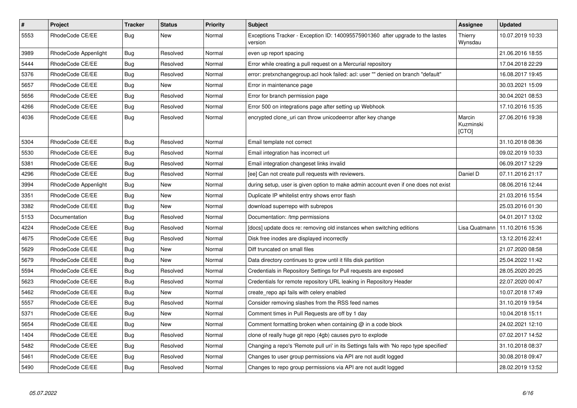| $\pmb{\#}$ | <b>Project</b>       | <b>Tracker</b> | <b>Status</b> | <b>Priority</b> | <b>Subject</b>                                                                            | <b>Assignee</b>              | <b>Updated</b>   |
|------------|----------------------|----------------|---------------|-----------------|-------------------------------------------------------------------------------------------|------------------------------|------------------|
| 5553       | RhodeCode CE/EE      | Bug            | <b>New</b>    | Normal          | Exceptions Tracker - Exception ID: 140095575901360 after upgrade to the lastes<br>version | Thierry<br>Wynsdau           | 10.07.2019 10:33 |
| 3989       | RhodeCode Appenlight | Bug            | Resolved      | Normal          | even up report spacing                                                                    |                              | 21.06.2016 18:55 |
| 5444       | RhodeCode CE/EE      | Bug            | Resolved      | Normal          | Error while creating a pull request on a Mercurial repository                             |                              | 17.04.2018 22:29 |
| 5376       | RhodeCode CE/EE      | Bug            | Resolved      | Normal          | error: pretxnchangegroup.acl hook failed: acl: user "" denied on branch "default"         |                              | 16.08.2017 19:45 |
| 5657       | RhodeCode CE/EE      | Bug            | New           | Normal          | Error in maintenance page                                                                 |                              | 30.03.2021 15:09 |
| 5656       | RhodeCode CE/EE      | <b>Bug</b>     | Resolved      | Normal          | Error for branch permission page                                                          |                              | 30.04.2021 08:53 |
| 4266       | RhodeCode CE/EE      | Bug            | Resolved      | Normal          | Error 500 on integrations page after setting up Webhook                                   |                              | 17.10.2016 15:35 |
| 4036       | RhodeCode CE/EE      | Bug            | Resolved      | Normal          | encrypted clone uri can throw unicodeerror after key change                               | Marcin<br>Kuzminski<br>[CTO] | 27.06.2016 19:38 |
| 5304       | RhodeCode CE/EE      | Bug            | Resolved      | Normal          | Email template not correct                                                                |                              | 31.10.2018 08:36 |
| 5530       | RhodeCode CE/EE      | Bug            | Resolved      | Normal          | Email integration has incorrect url                                                       |                              | 09.02.2019 10:33 |
| 5381       | RhodeCode CE/EE      | <b>Bug</b>     | Resolved      | Normal          | Email integration changeset links invalid                                                 |                              | 06.09.2017 12:29 |
| 4296       | RhodeCode CE/EE      | <b>Bug</b>     | Resolved      | Normal          | [ee] Can not create pull requests with reviewers.                                         | Daniel D                     | 07.11.2016 21:17 |
| 3994       | RhodeCode Appenlight | Bug            | New           | Normal          | during setup, user is given option to make admin account even if one does not exist       |                              | 08.06.2016 12:44 |
| 3351       | RhodeCode CE/EE      | <b>Bug</b>     | New           | Normal          | Duplicate IP whitelist entry shows error flash                                            |                              | 21.03.2016 15:54 |
| 3382       | RhodeCode CE/EE      | Bug            | New           | Normal          | download superrepo with subrepos                                                          |                              | 25.03.2016 01:30 |
| 5153       | Documentation        | Bug            | Resolved      | Normal          | Documentation: /tmp permissions                                                           |                              | 04.01.2017 13:02 |
| 4224       | RhodeCode CE/EE      | <b>Bug</b>     | Resolved      | Normal          | [docs] update docs re: removing old instances when switching editions                     | Lisa Quatmann                | 11.10.2016 15:36 |
| 4675       | RhodeCode CE/EE      | <b>Bug</b>     | Resolved      | Normal          | Disk free inodes are displayed incorrectly                                                |                              | 13.12.2016 22:41 |
| 5629       | RhodeCode CE/EE      | Bug            | <b>New</b>    | Normal          | Diff truncated on small files                                                             |                              | 21.07.2020 08:58 |
| 5679       | RhodeCode CE/EE      | Bug            | New           | Normal          | Data directory continues to grow until it fills disk partition                            |                              | 25.04.2022 11:42 |
| 5594       | RhodeCode CE/EE      | Bug            | Resolved      | Normal          | Credentials in Repository Settings for Pull requests are exposed                          |                              | 28.05.2020 20:25 |
| 5623       | RhodeCode CE/EE      | Bug            | Resolved      | Normal          | Credentials for remote repository URL leaking in Repository Header                        |                              | 22.07.2020 00:47 |
| 5462       | RhodeCode CE/EE      | Bug            | <b>New</b>    | Normal          | create repo api fails with celery enabled                                                 |                              | 10.07.2018 17:49 |
| 5557       | RhodeCode CE/EE      | Bug            | Resolved      | Normal          | Consider removing slashes from the RSS feed names                                         |                              | 31.10.2019 19:54 |
| 5371       | RhodeCode CE/EE      | Bug            | <b>New</b>    | Normal          | Comment times in Pull Requests are off by 1 day                                           |                              | 10.04.2018 15:11 |
| 5654       | RhodeCode CE/EE      | Bug            | <b>New</b>    | Normal          | Comment formatting broken when containing @ in a code block                               |                              | 24.02.2021 12:10 |
| 1404       | RhodeCode CE/EE      | Bug            | Resolved      | Normal          | clone of really huge git repo (4gb) causes pyro to explode                                |                              | 07.02.2017 14:52 |
| 5482       | RhodeCode CE/EE      | Bug            | Resolved      | Normal          | Changing a repo's 'Remote pull uri' in its Settings fails with 'No repo type specified'   |                              | 31.10.2018 08:37 |
| 5461       | RhodeCode CE/EE      | Bug            | Resolved      | Normal          | Changes to user group permissions via API are not audit logged                            |                              | 30.08.2018 09:47 |
| 5490       | RhodeCode CE/EE      | Bug            | Resolved      | Normal          | Changes to repo group permissions via API are not audit logged                            |                              | 28.02.2019 13:52 |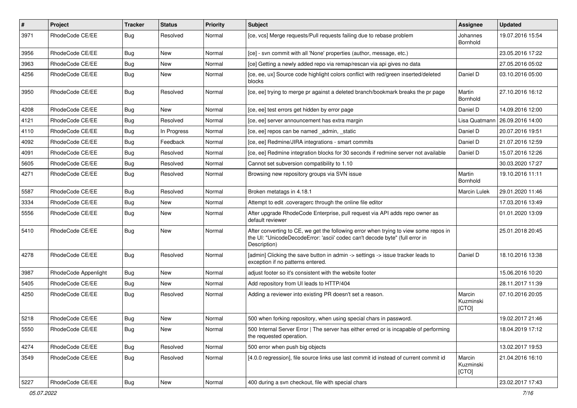| #    | Project              | <b>Tracker</b> | <b>Status</b> | <b>Priority</b> | <b>Subject</b>                                                                                                                                                                       | <b>Assignee</b>              | <b>Updated</b>   |
|------|----------------------|----------------|---------------|-----------------|--------------------------------------------------------------------------------------------------------------------------------------------------------------------------------------|------------------------------|------------------|
| 3971 | RhodeCode CE/EE      | Bug            | Resolved      | Normal          | [ce, vcs] Merge requests/Pull requests failing due to rebase problem                                                                                                                 | Johannes<br><b>Bornhold</b>  | 19.07.2016 15:54 |
| 3956 | RhodeCode CE/EE      | Bug            | New           | Normal          | [ce] - svn commit with all 'None' properties (author, message, etc.)                                                                                                                 |                              | 23.05.2016 17:22 |
| 3963 | RhodeCode CE/EE      | Bug            | New           | Normal          | [ce] Getting a newly added repo via remap/rescan via api gives no data                                                                                                               |                              | 27.05.2016 05:02 |
| 4256 | RhodeCode CE/EE      | Bug            | <b>New</b>    | Normal          | [ce, ee, ux] Source code highlight colors conflict with red/green inserted/deleted<br>blocks                                                                                         | Daniel D                     | 03.10.2016 05:00 |
| 3950 | RhodeCode CE/EE      | Bug            | Resolved      | Normal          | [ce, ee] trying to merge pr against a deleted branch/bookmark breaks the pr page                                                                                                     | Martin<br>Bornhold           | 27.10.2016 16:12 |
| 4208 | RhodeCode CE/EE      | Bug            | New           | Normal          | [ce, ee] test errors get hidden by error page                                                                                                                                        | Daniel D                     | 14.09.2016 12:00 |
| 4121 | RhodeCode CE/EE      | Bug            | Resolved      | Normal          | [ce, ee] server announcement has extra margin                                                                                                                                        | Lisa Quatmann                | 26.09.2016 14:00 |
| 4110 | RhodeCode CE/EE      | Bug            | In Progress   | Normal          | [ce, ee] repos can be named _admin, _static                                                                                                                                          | Daniel D                     | 20.07.2016 19:51 |
| 4092 | RhodeCode CE/EE      | Bug            | Feedback      | Normal          | [ce, ee] Redmine/JIRA integrations - smart commits                                                                                                                                   | Daniel D                     | 21.07.2016 12:59 |
| 4091 | RhodeCode CE/EE      | <b>Bug</b>     | Resolved      | Normal          | [ce, ee] Redmine integration blocks for 30 seconds if redmine server not available                                                                                                   | Daniel D                     | 15.07.2016 12:26 |
| 5605 | RhodeCode CE/EE      | Bug            | Resolved      | Normal          | Cannot set subversion compatibility to 1.10                                                                                                                                          |                              | 30.03.2020 17:27 |
| 4271 | RhodeCode CE/EE      | Bug            | Resolved      | Normal          | Browsing new repository groups via SVN issue                                                                                                                                         | Martin<br>Bornhold           | 19.10.2016 11:11 |
| 5587 | RhodeCode CE/EE      | Bug            | Resolved      | Normal          | Broken metatags in 4.18.1                                                                                                                                                            | Marcin Lulek                 | 29.01.2020 11:46 |
| 3334 | RhodeCode CE/EE      | Bug            | <b>New</b>    | Normal          | Attempt to edit .coveragerc through the online file editor                                                                                                                           |                              | 17.03.2016 13:49 |
| 5556 | RhodeCode CE/EE      | Bug            | New           | Normal          | After upgrade RhodeCode Enterprise, pull request via API adds repo owner as<br>default reviewer                                                                                      |                              | 01.01.2020 13:09 |
| 5410 | RhodeCode CE/EE      | <b>Bug</b>     | <b>New</b>    | Normal          | After converting to CE, we get the following error when trying to view some repos in<br>the UI: "UnicodeDecodeError: 'ascii' codec can't decode byte" (full error in<br>Description) |                              | 25.01.2018 20:45 |
| 4278 | RhodeCode CE/EE      | Bug            | Resolved      | Normal          | [admin] Clicking the save button in admin -> settings -> issue tracker leads to<br>exception if no patterns entered.                                                                 | Daniel D                     | 18.10.2016 13:38 |
| 3987 | RhodeCode Appenlight | Bug            | <b>New</b>    | Normal          | adjust footer so it's consistent with the website footer                                                                                                                             |                              | 15.06.2016 10:20 |
| 5405 | RhodeCode CE/EE      | Bug            | New           | Normal          | Add repository from UI leads to HTTP/404                                                                                                                                             |                              | 28.11.2017 11:39 |
| 4250 | RhodeCode CE/EE      | Bug            | Resolved      | Normal          | Adding a reviewer into existing PR doesn't set a reason.                                                                                                                             | Marcin<br>Kuzminski<br>[CTO] | 07.10.2016 20:05 |
| 5218 | RhodeCode CE/EE      | Bug            | <b>New</b>    | Normal          | 500 when forking repository, when using special chars in password.                                                                                                                   |                              | 19.02.2017 21:46 |
| 5550 | RhodeCode CE/EE      | <b>Bug</b>     | New           | Normal          | 500 Internal Server Error   The server has either erred or is incapable of performing<br>the requested operation.                                                                    |                              | 18.04.2019 17:12 |
| 4274 | RhodeCode CE/EE      | Bug            | Resolved      | Normal          | 500 error when push big objects                                                                                                                                                      |                              | 13.02.2017 19:53 |
| 3549 | RhodeCode CE/EE      | Bug            | Resolved      | Normal          | [4.0.0 regression], file source links use last commit id instead of current commit id                                                                                                | Marcin<br>Kuzminski<br>[CTO] | 21.04.2016 16:10 |
| 5227 | RhodeCode CE/EE      | <b>Bug</b>     | New           | Normal          | 400 during a svn checkout, file with special chars                                                                                                                                   |                              | 23.02.2017 17:43 |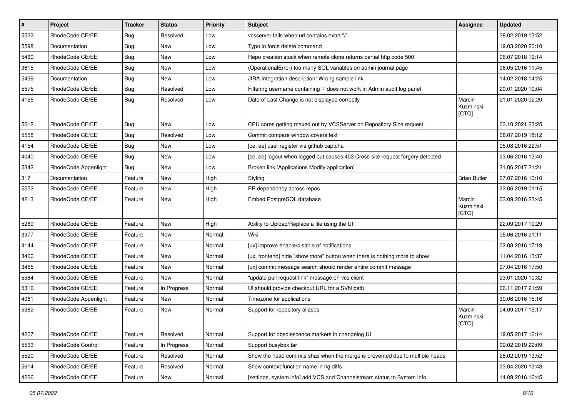| $\pmb{\#}$ | Project                  | <b>Tracker</b> | <b>Status</b> | <b>Priority</b> | <b>Subject</b>                                                                 | <b>Assignee</b>              | <b>Updated</b>   |
|------------|--------------------------|----------------|---------------|-----------------|--------------------------------------------------------------------------------|------------------------------|------------------|
| 5522       | RhodeCode CE/EE          | <b>Bug</b>     | Resolved      | Low             | vcsserver fails when url contains extra "/"                                    |                              | 28.02.2019 13:52 |
| 5598       | Documentation            | Bug            | <b>New</b>    | Low             | Typo in force delete command                                                   |                              | 19.03.2020 20:10 |
| 5460       | RhodeCode CE/EE          | Bug            | New           | Low             | Repo creation stuck when remote clone returns partial http code 500            |                              | 06.07.2018 19:14 |
| 3615       | RhodeCode CE/EE          | Bug            | New           | Low             | (OperationalError) too many SQL variables on admin journal page                |                              | 06.05.2016 11:45 |
| 5439       | Documentation            | Bug            | <b>New</b>    | Low             | JIRA Integration description: Wrong sample link                                |                              | 14.02.2018 14:25 |
| 5575       | RhodeCode CE/EE          | Bug            | Resolved      | Low             | Filtering username containing '-' does not work in Admin audit log panel       |                              | 20.01.2020 10:04 |
| 4155       | RhodeCode CE/EE          | Bug            | Resolved      | Low             | Date of Last Change is not displayed correctly                                 | Marcin<br>Kuzminski<br>[CTO] | 21.01.2020 02:20 |
| 5612       | RhodeCode CE/EE          | Bug            | <b>New</b>    | Low             | CPU cores getting maxed out by VCSServer on Repository Size request            |                              | 03.10.2021 23:25 |
| 5558       | RhodeCode CE/EE          | Bug            | Resolved      | Low             | Commit compare window covers text                                              |                              | 08.07.2019 18:12 |
| 4154       | RhodeCode CE/EE          | <b>Bug</b>     | New           | Low             | [ce, ee] user register via github captcha                                      |                              | 05.08.2016 22:51 |
| 4040       | RhodeCode CE/EE          | Bug            | <b>New</b>    | Low             | [ce, ee] logout when logged out causes 403 Cross-site request forgery detected |                              | 23.06.2016 13:40 |
| 5342       | RhodeCode Appenlight     | Bug            | New           | Low             | Broken link [Applications Modify application]                                  |                              | 21.06.2017 21:21 |
| 317        | Documentation            | Feature        | New           | High            | Styling                                                                        | <b>Brian Butler</b>          | 07.07.2016 10:10 |
| 5552       | RhodeCode CE/EE          | Feature        | New           | High            | PR dependency across repos                                                     |                              | 22.06.2019 01:15 |
| 4213       | RhodeCode CE/EE          | Feature        | New           | High            | Embed PostgreSQL database                                                      | Marcin<br>Kuzminski<br>[CTO] | 03.09.2016 23:45 |
| 5289       | RhodeCode CE/EE          | Feature        | <b>New</b>    | High            | Ability to Upload/Replace a file using the UI                                  |                              | 22.09.2017 10:29 |
| 3977       | RhodeCode CE/EE          | Feature        | <b>New</b>    | Normal          | Wiki                                                                           |                              | 05.06.2016 21:11 |
| 4144       | RhodeCode CE/EE          | Feature        | New           | Normal          | [ux] improve enable/disable of notifications                                   |                              | 02.08.2016 17:19 |
| 3460       | RhodeCode CE/EE          | Feature        | New           | Normal          | [ux, frontend] hide "show more" button when there is nothing more to show      |                              | 11.04.2016 13:37 |
| 3455       | RhodeCode CE/EE          | Feature        | New           | Normal          | [ux] commit message search should render entire commit message                 |                              | 07.04.2016 17:50 |
| 5584       | RhodeCode CE/EE          | Feature        | <b>New</b>    | Normal          | "update pull request link" message on vcs client                               |                              | 23.01.2020 10:32 |
| 5316       | RhodeCode CE/EE          | Feature        | In Progress   | Normal          | UI should provide checkout URL for a SVN path                                  |                              | 06.11.2017 21:59 |
| 4061       | RhodeCode Appenlight     | Feature        | New           | Normal          | Timezone for applications                                                      |                              | 30.06.2016 15:16 |
| 5382       | RhodeCode CE/EE          | Feature        | New           | Normal          | Support for repository aliases                                                 | Marcin<br>Kuzminski<br>[CTO] | 04.09.2017 15:17 |
| 4207       | RhodeCode CE/EE          | Feature        | Resolved      | Normal          | Support for obsolescence markers in changelog UI                               |                              | 19.05.2017 16:14 |
| 5533       | <b>RhodeCode Control</b> | Feature        | In Progress   | Normal          | Support busybox tar                                                            |                              | 09.02.2019 22:09 |
| 5520       | RhodeCode CE/EE          | Feature        | Resolved      | Normal          | Show the head commits shas when the merge is prevented due to multiple heads   |                              | 28.02.2019 13:52 |
| 5614       | RhodeCode CE/EE          | Feature        | Resolved      | Normal          | Show context function name in hg diffs                                         |                              | 23.04.2020 13:43 |
| 4226       | RhodeCode CE/EE          | Feature        | New           | Normal          | [settings, system info] add VCS and Channelstream status to System Info        |                              | 14.09.2016 16:45 |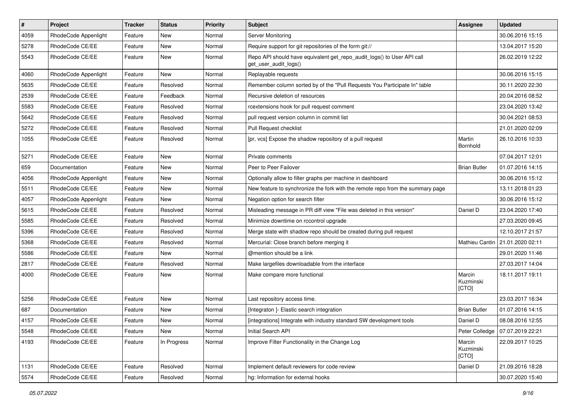| $\#$ | Project              | Tracker | <b>Status</b> | <b>Priority</b> | Subject                                                                                         | Assignee                     | <b>Updated</b>   |
|------|----------------------|---------|---------------|-----------------|-------------------------------------------------------------------------------------------------|------------------------------|------------------|
| 4059 | RhodeCode Appenlight | Feature | New           | Normal          | Server Monitoring                                                                               |                              | 30.06.2016 15:15 |
| 5278 | RhodeCode CE/EE      | Feature | <b>New</b>    | Normal          | Require support for git repositories of the form git://                                         |                              | 13.04.2017 15:20 |
| 5543 | RhodeCode CE/EE      | Feature | New           | Normal          | Repo API should have equivalent get_repo_audit_logs() to User API call<br>get_user_audit_logs() |                              | 26.02.2019 12:22 |
| 4060 | RhodeCode Appenlight | Feature | New           | Normal          | Replayable requests                                                                             |                              | 30.06.2016 15:15 |
| 5635 | RhodeCode CE/EE      | Feature | Resolved      | Normal          | Remember column sorted by of the "Pull Requests You Participate In" table                       |                              | 30.11.2020 22:30 |
| 2539 | RhodeCode CE/EE      | Feature | Feedback      | Normal          | Recursive deletion of resources                                                                 |                              | 20.04.2016 08:52 |
| 5583 | RhodeCode CE/EE      | Feature | Resolved      | Normal          | rcextensions hook for pull request comment                                                      |                              | 23.04.2020 13:42 |
| 5642 | RhodeCode CE/EE      | Feature | Resolved      | Normal          | pull request version column in commit list                                                      |                              | 30.04.2021 08:53 |
| 5272 | RhodeCode CE/EE      | Feature | Resolved      | Normal          | Pull Request checklist                                                                          |                              | 21.01.2020 02:09 |
| 1055 | RhodeCode CE/EE      | Feature | Resolved      | Normal          | [pr, vcs] Expose the shadow repository of a pull request                                        | Martin<br>Bornhold           | 26.10.2016 10:33 |
| 5271 | RhodeCode CE/EE      | Feature | New           | Normal          | Private comments                                                                                |                              | 07.04.2017 12:01 |
| 659  | Documentation        | Feature | New           | Normal          | Peer to Peer Failover                                                                           | <b>Brian Butler</b>          | 01.07.2016 14:15 |
| 4056 | RhodeCode Appenlight | Feature | <b>New</b>    | Normal          | Optionally allow to filter graphs per machine in dashboard                                      |                              | 30.06.2016 15:12 |
| 5511 | RhodeCode CE/EE      | Feature | New           | Normal          | New feature to synchronize the fork with the remote repo from the summary page                  |                              | 13.11.2018 01:23 |
| 4057 | RhodeCode Appenlight | Feature | New           | Normal          | Negation option for search filter                                                               |                              | 30.06.2016 15:12 |
| 5615 | RhodeCode CE/EE      | Feature | Resolved      | Normal          | Misleading message in PR diff view "File was deleted in this version"                           | Daniel D                     | 23.04.2020 17:40 |
| 5585 | RhodeCode CE/EE      | Feature | Resolved      | Normal          | Minimize downtime on rccontrol upgrade                                                          |                              | 27.03.2020 09:45 |
| 5396 | RhodeCode CE/EE      | Feature | Resolved      | Normal          | Merge state with shadow repo should be created during pull request                              |                              | 12.10.2017 21:57 |
| 5368 | RhodeCode CE/EE      | Feature | Resolved      | Normal          | Mercurial: Close branch before merging it                                                       | Mathieu Cantin               | 21.01.2020 02:11 |
| 5586 | RhodeCode CE/EE      | Feature | New           | Normal          | @mention should be a link                                                                       |                              | 29.01.2020 11:46 |
| 2817 | RhodeCode CE/EE      | Feature | Resolved      | Normal          | Make largefiles downloadable from the interface                                                 |                              | 27.03.2017 14:04 |
| 4000 | RhodeCode CE/EE      | Feature | New           | Normal          | Make compare more functional                                                                    | Marcin<br>Kuzminski<br>[CTO] | 18.11.2017 19:11 |
| 5256 | RhodeCode CE/EE      | Feature | <b>New</b>    | Normal          | Last repository access time.                                                                    |                              | 23.03.2017 16:34 |
| 687  | Documentation        | Feature | New           | Normal          | [Integraton] - Elastic search integration                                                       | <b>Brian Butler</b>          | 01.07.2016 14:15 |
| 4157 | RhodeCode CE/EE      | Feature | New           | Normal          | [integrations] Integrate with industry standard SW development tools                            | Daniel D                     | 08.08.2016 12:55 |
| 5548 | RhodeCode CE/EE      | Feature | New           | Normal          | Initial Search API                                                                              | Peter Colledge               | 07.07.2019 22:21 |
| 4193 | RhodeCode CE/EE      | Feature | In Progress   | Normal          | Improve Filter Functionality in the Change Log                                                  | Marcin<br>Kuzminski<br>[CTO] | 22.09.2017 10:25 |
| 1131 | RhodeCode CE/EE      | Feature | Resolved      | Normal          | Implement default reviewers for code review                                                     | Daniel D                     | 21.09.2016 18:28 |
| 5574 | RhodeCode CE/EE      | Feature | Resolved      | Normal          | hg: Information for external hooks                                                              |                              | 30.07.2020 15:40 |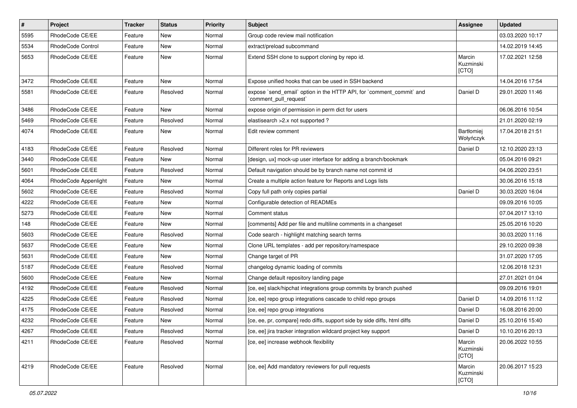| $\vert$ # | Project                  | Tracker | <b>Status</b> | <b>Priority</b> | Subject                                                                                        | Assignee                     | Updated          |
|-----------|--------------------------|---------|---------------|-----------------|------------------------------------------------------------------------------------------------|------------------------------|------------------|
| 5595      | RhodeCode CE/EE          | Feature | New           | Normal          | Group code review mail notification                                                            |                              | 03.03.2020 10:17 |
| 5534      | <b>RhodeCode Control</b> | Feature | New           | Normal          | extract/preload subcommand                                                                     |                              | 14.02.2019 14:45 |
| 5653      | RhodeCode CE/EE          | Feature | <b>New</b>    | Normal          | Extend SSH clone to support cloning by repo id.                                                | Marcin<br>Kuzminski<br>[CTO] | 17.02.2021 12:58 |
| 3472      | RhodeCode CE/EE          | Feature | <b>New</b>    | Normal          | Expose unified hooks that can be used in SSH backend                                           |                              | 14.04.2016 17:54 |
| 5581      | RhodeCode CE/EE          | Feature | Resolved      | Normal          | expose `send_email` option in the HTTP API, for `comment_commit` and<br>`comment_pull_request` | Daniel D                     | 29.01.2020 11:46 |
| 3486      | RhodeCode CE/EE          | Feature | New           | Normal          | expose origin of permission in perm dict for users                                             |                              | 06.06.2016 10:54 |
| 5469      | RhodeCode CE/EE          | Feature | Resolved      | Normal          | elastisearch > 2.x not supported ?                                                             |                              | 21.01.2020 02:19 |
| 4074      | RhodeCode CE/EE          | Feature | New           | Normal          | Edit review comment                                                                            | Bartłomiej<br>Wołyńczyk      | 17.04.2018 21:51 |
| 4183      | RhodeCode CE/EE          | Feature | Resolved      | Normal          | Different roles for PR reviewers                                                               | Daniel D                     | 12.10.2020 23:13 |
| 3440      | RhodeCode CE/EE          | Feature | New           | Normal          | [design, ux] mock-up user interface for adding a branch/bookmark                               |                              | 05.04.2016 09:21 |
| 5601      | RhodeCode CE/EE          | Feature | Resolved      | Normal          | Default navigation should be by branch name not commit id                                      |                              | 04.06.2020 23:51 |
| 4064      | RhodeCode Appenlight     | Feature | New           | Normal          | Create a multiple action feature for Reports and Logs lists                                    |                              | 30.06.2016 15:18 |
| 5602      | RhodeCode CE/EE          | Feature | Resolved      | Normal          | Copy full path only copies partial                                                             | Daniel D                     | 30.03.2020 16:04 |
| 4222      | RhodeCode CE/EE          | Feature | New           | Normal          | Configurable detection of READMEs                                                              |                              | 09.09.2016 10:05 |
| 5273      | RhodeCode CE/EE          | Feature | New           | Normal          | Comment status                                                                                 |                              | 07.04.2017 13:10 |
| 148       | RhodeCode CE/EE          | Feature | New           | Normal          | [comments] Add per file and multiline comments in a changeset                                  |                              | 25.05.2016 10:20 |
| 5603      | RhodeCode CE/EE          | Feature | Resolved      | Normal          | Code search - highlight matching search terms                                                  |                              | 30.03.2020 11:16 |
| 5637      | RhodeCode CE/EE          | Feature | New           | Normal          | Clone URL templates - add per repository/namespace                                             |                              | 29.10.2020 09:38 |
| 5631      | RhodeCode CE/EE          | Feature | <b>New</b>    | Normal          | Change target of PR                                                                            |                              | 31.07.2020 17:05 |
| 5187      | RhodeCode CE/EE          | Feature | Resolved      | Normal          | changelog dynamic loading of commits                                                           |                              | 12.06.2018 12:31 |
| 5600      | RhodeCode CE/EE          | Feature | New           | Normal          | Change default repository landing page                                                         |                              | 27.01.2021 01:04 |
| 4192      | RhodeCode CE/EE          | Feature | Resolved      | Normal          | [ce, ee] slack/hipchat integrations group commits by branch pushed                             |                              | 09.09.2016 19:01 |
| 4225      | RhodeCode CE/EE          | Feature | Resolved      | Normal          | [ce, ee] repo group integrations cascade to child repo groups                                  | Daniel D                     | 14.09.2016 11:12 |
| 4175      | RhodeCode CE/EE          | Feature | Resolved      | Normal          | [ce, ee] repo group integrations                                                               | Daniel D                     | 16.08.2016 20:00 |
| 4232      | RhodeCode CE/EE          | Feature | New           | Normal          | [ce, ee, pr, compare] redo diffs, support side by side diffs, html diffs                       | Daniel D                     | 25.10.2016 15:40 |
| 4267      | RhodeCode CE/EE          | Feature | Resolved      | Normal          | [ce, ee] jira tracker integration wildcard project key support                                 | Daniel D                     | 10.10.2016 20:13 |
| 4211      | RhodeCode CE/EE          | Feature | Resolved      | Normal          | [ce, ee] increase webhook flexibility                                                          | Marcin<br>Kuzminski<br>[CTO] | 20.06.2022 10:55 |
| 4219      | RhodeCode CE/EE          | Feature | Resolved      | Normal          | [ce, ee] Add mandatory reviewers for pull requests                                             | Marcin<br>Kuzminski<br>[CTO] | 20.06.2017 15:23 |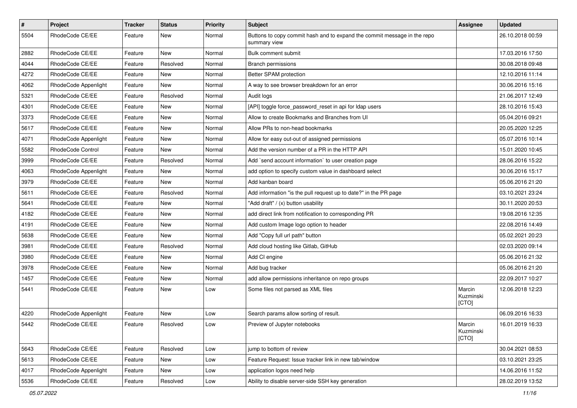| $\pmb{\#}$ | Project              | <b>Tracker</b> | <b>Status</b> | <b>Priority</b> | <b>Subject</b>                                                                           | Assignee                     | <b>Updated</b>   |
|------------|----------------------|----------------|---------------|-----------------|------------------------------------------------------------------------------------------|------------------------------|------------------|
| 5504       | RhodeCode CE/EE      | Feature        | New           | Normal          | Buttons to copy commit hash and to expand the commit message in the repo<br>summary view |                              | 26.10.2018 00:59 |
| 2882       | RhodeCode CE/EE      | Feature        | <b>New</b>    | Normal          | Bulk comment submit                                                                      |                              | 17.03.2016 17:50 |
| 4044       | RhodeCode CE/EE      | Feature        | Resolved      | Normal          | <b>Branch permissions</b>                                                                |                              | 30.08.2018 09:48 |
| 4272       | RhodeCode CE/EE      | Feature        | <b>New</b>    | Normal          | Better SPAM protection                                                                   |                              | 12.10.2016 11:14 |
| 4062       | RhodeCode Appenlight | Feature        | New           | Normal          | A way to see browser breakdown for an error                                              |                              | 30.06.2016 15:16 |
| 5321       | RhodeCode CE/EE      | Feature        | Resolved      | Normal          | Audit logs                                                                               |                              | 21.06.2017 12:49 |
| 4301       | RhodeCode CE/EE      | Feature        | New           | Normal          | [API] toggle force password reset in api for Idap users                                  |                              | 28.10.2016 15:43 |
| 3373       | RhodeCode CE/EE      | Feature        | New           | Normal          | Allow to create Bookmarks and Branches from UI                                           |                              | 05.04.2016 09:21 |
| 5617       | RhodeCode CE/EE      | Feature        | New           | Normal          | Allow PRs to non-head bookmarks                                                          |                              | 20.05.2020 12:25 |
| 4071       | RhodeCode Appenlight | Feature        | New           | Normal          | Allow for easy out-out of assigned permissions                                           |                              | 05.07.2016 10:14 |
| 5582       | RhodeCode Control    | Feature        | <b>New</b>    | Normal          | Add the version number of a PR in the HTTP API                                           |                              | 15.01.2020 10:45 |
| 3999       | RhodeCode CE/EE      | Feature        | Resolved      | Normal          | Add `send account information` to user creation page                                     |                              | 28.06.2016 15:22 |
| 4063       | RhodeCode Appenlight | Feature        | New           | Normal          | add option to specify custom value in dashboard select                                   |                              | 30.06.2016 15:17 |
| 3979       | RhodeCode CE/EE      | Feature        | <b>New</b>    | Normal          | Add kanban board                                                                         |                              | 05.06.2016 21:20 |
| 5611       | RhodeCode CE/EE      | Feature        | Resolved      | Normal          | Add information "is the pull request up to date?" in the PR page                         |                              | 03.10.2021 23:24 |
| 5641       | RhodeCode CE/EE      | Feature        | New           | Normal          | "Add draft" / (x) button usability                                                       |                              | 30.11.2020 20:53 |
| 4182       | RhodeCode CE/EE      | Feature        | <b>New</b>    | Normal          | add direct link from notification to corresponding PR                                    |                              | 19.08.2016 12:35 |
| 4191       | RhodeCode CE/EE      | Feature        | New           | Normal          | Add custom Image logo option to header                                                   |                              | 22.08.2016 14:49 |
| 5638       | RhodeCode CE/EE      | Feature        | <b>New</b>    | Normal          | Add "Copy full url path" button                                                          |                              | 05.02.2021 20:23 |
| 3981       | RhodeCode CE/EE      | Feature        | Resolved      | Normal          | Add cloud hosting like Gitlab, GitHub                                                    |                              | 02.03.2020 09:14 |
| 3980       | RhodeCode CE/EE      | Feature        | New           | Normal          | Add CI engine                                                                            |                              | 05.06.2016 21:32 |
| 3978       | RhodeCode CE/EE      | Feature        | <b>New</b>    | Normal          | Add bug tracker                                                                          |                              | 05.06.2016 21:20 |
| 1457       | RhodeCode CE/EE      | Feature        | New           | Normal          | add allow permissions inheritance on repo groups                                         |                              | 22.09.2017 10:27 |
| 5441       | RhodeCode CE/EE      | Feature        | New           | Low             | Some files not parsed as XML files                                                       | Marcin<br>Kuzminski<br>[CTO] | 12.06.2018 12:23 |
| 4220       | RhodeCode Appenlight | Feature        | <b>New</b>    | Low             | Search params allow sorting of result.                                                   |                              | 06.09.2016 16:33 |
| 5442       | RhodeCode CE/EE      | Feature        | Resolved      | Low             | Preview of Jupyter notebooks                                                             | Marcin<br>Kuzminski<br>[CTO] | 16.01.2019 16:33 |
| 5643       | RhodeCode CE/EE      | Feature        | Resolved      | Low             | jump to bottom of review                                                                 |                              | 30.04.2021 08:53 |
| 5613       | RhodeCode CE/EE      | Feature        | New           | Low             | Feature Request: Issue tracker link in new tab/window                                    |                              | 03.10.2021 23:25 |
| 4017       | RhodeCode Appenlight | Feature        | New           | Low             | application logos need help                                                              |                              | 14.06.2016 11:52 |
| 5536       | RhodeCode CE/EE      | Feature        | Resolved      | Low             | Ability to disable server-side SSH key generation                                        |                              | 28.02.2019 13:52 |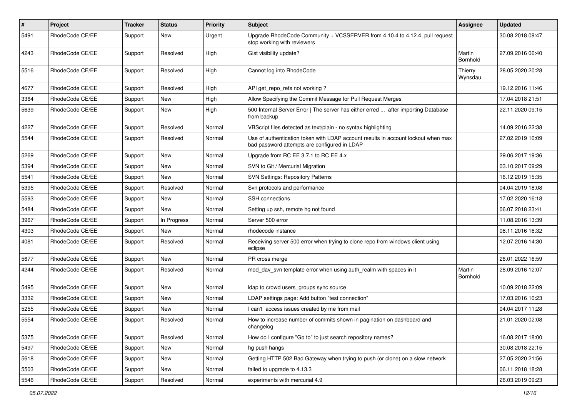| $\sharp$ | Project         | Tracker | <b>Status</b> | <b>Priority</b> | Subject                                                                                                                           | Assignee           | <b>Updated</b>   |
|----------|-----------------|---------|---------------|-----------------|-----------------------------------------------------------------------------------------------------------------------------------|--------------------|------------------|
| 5491     | RhodeCode CE/EE | Support | New           | Urgent          | Upgrade RhodeCode Community + VCSSERVER from 4.10.4 to 4.12.4, pull request<br>stop working with reviewers                        |                    | 30.08.2018 09:47 |
| 4243     | RhodeCode CE/EE | Support | Resolved      | High            | Gist visibility update?                                                                                                           | Martin<br>Bornhold | 27.09.2016 06:40 |
| 5516     | RhodeCode CE/EE | Support | Resolved      | High            | Cannot log into RhodeCode                                                                                                         | Thierry<br>Wynsdau | 28.05.2020 20:28 |
| 4677     | RhodeCode CE/EE | Support | Resolved      | High            | API get_repo_refs not working?                                                                                                    |                    | 19.12.2016 11:46 |
| 3364     | RhodeCode CE/EE | Support | New           | High            | Allow Specifying the Commit Message for Pull Request Merges                                                                       |                    | 17.04.2018 21:51 |
| 5639     | RhodeCode CE/EE | Support | New           | High            | 500 Internal Server Error   The server has either erred  after importing Database<br>from backup                                  |                    | 22.11.2020 09:15 |
| 4227     | RhodeCode CE/EE | Support | Resolved      | Normal          | VBScript files detected as text/plain - no syntax highlighting                                                                    |                    | 14.09.2016 22:38 |
| 5544     | RhodeCode CE/EE | Support | Resolved      | Normal          | Use of authentication token with LDAP account results in account lockout when max<br>bad password attempts are configured in LDAP |                    | 27.02.2019 10:09 |
| 5269     | RhodeCode CE/EE | Support | <b>New</b>    | Normal          | Upgrade from RC EE 3.7.1 to RC EE 4.x                                                                                             |                    | 29.06.2017 19:36 |
| 5394     | RhodeCode CE/EE | Support | New           | Normal          | SVN to Git / Mercurial Migration                                                                                                  |                    | 03.10.2017 09:29 |
| 5541     | RhodeCode CE/EE | Support | <b>New</b>    | Normal          | <b>SVN Settings: Repository Patterns</b>                                                                                          |                    | 16.12.2019 15:35 |
| 5395     | RhodeCode CE/EE | Support | Resolved      | Normal          | Svn protocols and performance                                                                                                     |                    | 04.04.2019 18:08 |
| 5593     | RhodeCode CE/EE | Support | New           | Normal          | SSH connections                                                                                                                   |                    | 17.02.2020 16:18 |
| 5484     | RhodeCode CE/EE | Support | New           | Normal          | Setting up ssh, remote hg not found                                                                                               |                    | 06.07.2018 23:41 |
| 3967     | RhodeCode CE/EE | Support | In Progress   | Normal          | Server 500 error                                                                                                                  |                    | 11.08.2016 13:39 |
| 4303     | RhodeCode CE/EE | Support | <b>New</b>    | Normal          | rhodecode instance                                                                                                                |                    | 08.11.2016 16:32 |
| 4081     | RhodeCode CE/EE | Support | Resolved      | Normal          | Receiving server 500 error when trying to clone repo from windows client using<br>eclipse                                         |                    | 12.07.2016 14:30 |
| 5677     | RhodeCode CE/EE | Support | <b>New</b>    | Normal          | PR cross merge                                                                                                                    |                    | 28.01.2022 16:59 |
| 4244     | RhodeCode CE/EE | Support | Resolved      | Normal          | mod_dav_svn template error when using auth_realm with spaces in it                                                                | Martin<br>Bornhold | 28.09.2016 12:07 |
| 5495     | RhodeCode CE/EE | Support | New           | Normal          | Idap to crowd users_groups sync source                                                                                            |                    | 10.09.2018 22:09 |
| 3332     | RhodeCode CE/EE | Support | New           | Normal          | LDAP settings page: Add button "test connection"                                                                                  |                    | 17.03.2016 10:23 |
| 5255     | RhodeCode CE/EE | Support | <b>New</b>    | Normal          | I can't access issues created by me from mail                                                                                     |                    | 04.04.2017 11:28 |
| 5554     | RhodeCode CE/EE | Support | Resolved      | Normal          | How to increase number of commits shown in pagination on dashboard and<br>changelog                                               |                    | 21.01.2020 02:08 |
| 5375     | RhodeCode CE/EE | Support | Resolved      | Normal          | How do I configure "Go to" to just search repository names?                                                                       |                    | 16.08.2017 18:00 |
| 5497     | RhodeCode CE/EE | Support | New           | Normal          | hg push hangs                                                                                                                     |                    | 30.08.2018 22:15 |
| 5618     | RhodeCode CE/EE | Support | <b>New</b>    | Normal          | Getting HTTP 502 Bad Gateway when trying to push (or clone) on a slow network                                                     |                    | 27.05.2020 21:56 |
| 5503     | RhodeCode CE/EE | Support | New           | Normal          | failed to upgrade to 4.13.3                                                                                                       |                    | 06.11.2018 18:28 |
| 5546     | RhodeCode CE/EE | Support | Resolved      | Normal          | experiments with mercurial 4.9                                                                                                    |                    | 26.03.2019 09:23 |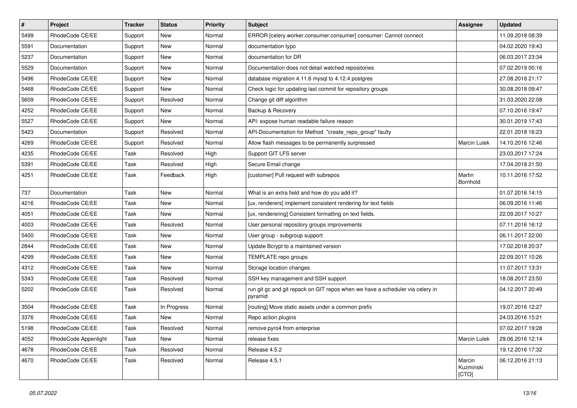| $\vert$ # | Project              | <b>Tracker</b> | <b>Status</b> | <b>Priority</b> | <b>Subject</b>                                                                           | <b>Assignee</b>              | <b>Updated</b>   |
|-----------|----------------------|----------------|---------------|-----------------|------------------------------------------------------------------------------------------|------------------------------|------------------|
| 5499      | RhodeCode CE/EE      | Support        | New           | Normal          | ERROR [celery.worker.consumer.consumer] consumer: Cannot connect                         |                              | 11.09.2018 08:39 |
| 5591      | Documentation        | Support        | New           | Normal          | documentation typo                                                                       |                              | 04.02.2020 19:43 |
| 5237      | Documentation        | Support        | New           | Normal          | documentation for DR                                                                     |                              | 06.03.2017 23:34 |
| 5529      | Documentation        | Support        | New           | Normal          | Documentation does not detail watched repositories                                       |                              | 07.02.2019 00:16 |
| 5496      | RhodeCode CE/EE      | Support        | New           | Normal          | database migration 4.11.6 mysql to 4.12.4 postgres                                       |                              | 27.08.2018 21:17 |
| 5468      | RhodeCode CE/EE      | Support        | New           | Normal          | Check logic for updating last commit for repository groups                               |                              | 30.08.2018 09:47 |
| 5609      | RhodeCode CE/EE      | Support        | Resolved      | Normal          | Change git diff algorithm                                                                |                              | 31.03.2020 22:08 |
| 4252      | RhodeCode CE/EE      | Support        | New           | Normal          | Backup & Recovery                                                                        |                              | 07.10.2016 19:47 |
| 5527      | RhodeCode CE/EE      | Support        | New           | Normal          | API: expose human readable failure reason                                                |                              | 30.01.2019 17:43 |
| 5423      | Documentation        | Support        | Resolved      | Normal          | API-Documentation for Method "create_repo_group" faulty                                  |                              | 22.01.2018 16:23 |
| 4269      | RhodeCode CE/EE      | Support        | Resolved      | Normal          | Allow flash messages to be permanently surpressed                                        | Marcin Lulek                 | 14.10.2016 12:46 |
| 4235      | RhodeCode CE/EE      | Task           | Resolved      | High            | Support GIT LFS server                                                                   |                              | 23.03.2017 17:24 |
| 5391      | RhodeCode CE/EE      | Task           | Resolved      | High            | Secure Email change                                                                      |                              | 17.04.2018 21:50 |
| 4251      | RhodeCode CE/EE      | Task           | Feedback      | High            | [customer] Pull request with subrepos                                                    | Martin<br>Bornhold           | 10.11.2016 17:52 |
| 737       | Documentation        | Task           | New           | Normal          | What is an extra field and how do you add it?                                            |                              | 01.07.2016 14:15 |
| 4216      | RhodeCode CE/EE      | Task           | New           | Normal          | [ux, renderers] implement consistent rendering for text fields                           |                              | 06.09.2016 11:46 |
| 4051      | RhodeCode CE/EE      | Task           | New           | Normal          | [ux, renderering] Consistent formatting on text fields.                                  |                              | 22.09.2017 10:27 |
| 4003      | RhodeCode CE/EE      | Task           | Resolved      | Normal          | User personal repository groups improvements                                             |                              | 07.11.2016 16:12 |
| 5400      | RhodeCode CE/EE      | Task           | New           | Normal          | User group - subgroup support                                                            |                              | 06.11.2017 22:00 |
| 2844      | RhodeCode CE/EE      | Task           | New           | Normal          | Update Bcrypt to a maintained version                                                    |                              | 17.02.2018 20:37 |
| 4299      | RhodeCode CE/EE      | Task           | New           | Normal          | TEMPLATE repo groups                                                                     |                              | 22.09.2017 10:26 |
| 4312      | RhodeCode CE/EE      | Task           | New           | Normal          | Storage location changes                                                                 |                              | 11.07.2017 13:31 |
| 5343      | RhodeCode CE/EE      | Task           | Resolved      | Normal          | SSH key management and SSH support                                                       |                              | 18.08.2017 23:50 |
| 5202      | RhodeCode CE/EE      | Task           | Resolved      | Normal          | run git gc and git repack on GIT repos when we have a scheduler via celery in<br>pyramid |                              | 04.12.2017 20:49 |
| 3504      | RhodeCode CE/EE      | Task           | In Progress   | Normal          | [routing] Move static assets under a common prefix                                       |                              | 19.07.2016 12:27 |
| 3376      | RhodeCode CE/EE      | Task           | <b>New</b>    | Normal          | Repo action plugins                                                                      |                              | 24.03.2016 15:21 |
| 5198      | RhodeCode CE/EE      | Task           | Resolved      | Normal          | remove pyro4 from enterprise                                                             |                              | 07.02.2017 19:28 |
| 4052      | RhodeCode Appenlight | Task           | New           | Normal          | release fixes                                                                            | Marcin Lulek                 | 29.06.2016 12:14 |
| 4678      | RhodeCode CE/EE      | Task           | Resolved      | Normal          | Release 4.5.2                                                                            |                              | 19.12.2016 17:32 |
| 4670      | RhodeCode CE/EE      | Task           | Resolved      | Normal          | Release 4.5.1                                                                            | Marcin<br>Kuzminski<br>[CTO] | 06.12.2016 21:13 |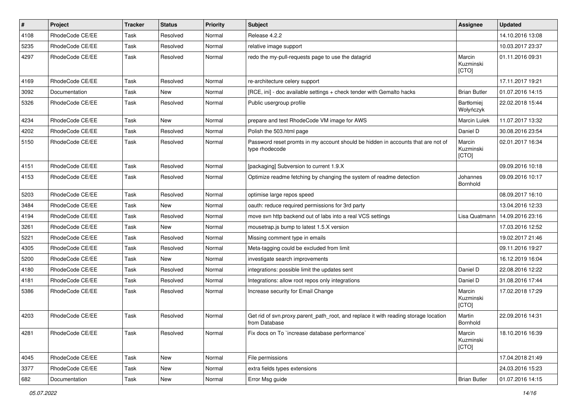| $\pmb{\#}$ | Project         | <b>Tracker</b> | <b>Status</b> | <b>Priority</b> | <b>Subject</b>                                                                                       | <b>Assignee</b>                | <b>Updated</b>   |
|------------|-----------------|----------------|---------------|-----------------|------------------------------------------------------------------------------------------------------|--------------------------------|------------------|
| 4108       | RhodeCode CE/EE | Task           | Resolved      | Normal          | Release 4.2.2                                                                                        |                                | 14.10.2016 13:08 |
| 5235       | RhodeCode CE/EE | Task           | Resolved      | Normal          | relative image support                                                                               |                                | 10.03.2017 23:37 |
| 4297       | RhodeCode CE/EE | Task           | Resolved      | Normal          | redo the my-pull-requests page to use the datagrid                                                   | Marcin<br>Kuzminski<br>[CTO]   | 01.11.2016 09:31 |
| 4169       | RhodeCode CE/EE | Task           | Resolved      | Normal          | re-architecture celery support                                                                       |                                | 17.11.2017 19:21 |
| 3092       | Documentation   | Task           | New           | Normal          | [RCE, ini] - doc available settings + check tender with Gemalto hacks                                | <b>Brian Butler</b>            | 01.07.2016 14:15 |
| 5326       | RhodeCode CE/EE | Task           | Resolved      | Normal          | Public usergroup profile                                                                             | <b>Bartłomiej</b><br>Wołyńczyk | 22.02.2018 15:44 |
| 4234       | RhodeCode CE/EE | Task           | <b>New</b>    | Normal          | prepare and test RhodeCode VM image for AWS                                                          | <b>Marcin Lulek</b>            | 11.07.2017 13:32 |
| 4202       | RhodeCode CE/EE | Task           | Resolved      | Normal          | Polish the 503.html page                                                                             | Daniel D                       | 30.08.2016 23:54 |
| 5150       | RhodeCode CE/EE | Task           | Resolved      | Normal          | Password reset promts in my account should be hidden in accounts that are not of<br>type rhodecode   | Marcin<br>Kuzminski<br>[CTO]   | 02.01.2017 16:34 |
| 4151       | RhodeCode CE/EE | Task           | Resolved      | Normal          | [packaging] Subversion to current 1.9.X                                                              |                                | 09.09.2016 10:18 |
| 4153       | RhodeCode CE/EE | Task           | Resolved      | Normal          | Optimize readme fetching by changing the system of readme detection                                  | Johannes<br>Bornhold           | 09.09.2016 10:17 |
| 5203       | RhodeCode CE/EE | Task           | Resolved      | Normal          | optimise large repos speed                                                                           |                                | 08.09.2017 16:10 |
| 3484       | RhodeCode CE/EE | Task           | New           | Normal          | oauth: reduce required permissions for 3rd party                                                     |                                | 13.04.2016 12:33 |
| 4194       | RhodeCode CE/EE | Task           | Resolved      | Normal          | move svn http backend out of labs into a real VCS settings                                           | Lisa Quatmann                  | 14.09.2016 23:16 |
| 3261       | RhodeCode CE/EE | Task           | <b>New</b>    | Normal          | mousetrap.js bump to latest 1.5.X version                                                            |                                | 17.03.2016 12:52 |
| 5221       | RhodeCode CE/EE | Task           | Resolved      | Normal          | Missing comment type in emails                                                                       |                                | 19.02.2017 21:46 |
| 4305       | RhodeCode CE/EE | Task           | Resolved      | Normal          | Meta-tagging could be excluded from limit                                                            |                                | 09.11.2016 19:27 |
| 5200       | RhodeCode CE/EE | Task           | <b>New</b>    | Normal          | investigate search improvements                                                                      |                                | 16.12.2019 16:04 |
| 4180       | RhodeCode CE/EE | Task           | Resolved      | Normal          | integrations: possible limit the updates sent                                                        | Daniel D                       | 22.08.2016 12:22 |
| 4181       | RhodeCode CE/EE | Task           | Resolved      | Normal          | Integrations: allow root repos only integrations                                                     | Daniel D                       | 31.08.2016 17:44 |
| 5386       | RhodeCode CE/EE | Task           | Resolved      | Normal          | Increase security for Email Change                                                                   | Marcin<br>Kuzminski<br>[CTO]   | 17.02.2018 17:29 |
| 4203       | RhodeCode CE/EE | Task           | Resolved      | Normal          | Get rid of svn.proxy.parent_path_root, and replace it with reading storage location<br>from Database | Martin<br>Bornhold             | 22.09.2016 14:31 |
| 4281       | RhodeCode CE/EE | Task           | Resolved      | Normal          | Fix docs on To `increase database performance`                                                       | Marcin<br>Kuzminski<br>[CTO]   | 18.10.2016 16:39 |
| 4045       | RhodeCode CE/EE | Task           | New           | Normal          | File permissions                                                                                     |                                | 17.04.2018 21:49 |
| 3377       | RhodeCode CE/EE | Task           | New           | Normal          | extra fields types extensions                                                                        |                                | 24.03.2016 15:23 |
| 682        | Documentation   | Task           | New           | Normal          | Error Msg guide                                                                                      | <b>Brian Butler</b>            | 01.07.2016 14:15 |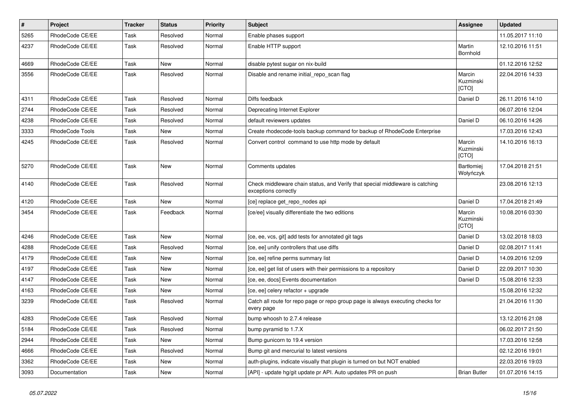| $\vert$ # | <b>Project</b>  | <b>Tracker</b> | <b>Status</b> | <b>Priority</b> | <b>Subject</b>                                                                                        | <b>Assignee</b>                | <b>Updated</b>   |
|-----------|-----------------|----------------|---------------|-----------------|-------------------------------------------------------------------------------------------------------|--------------------------------|------------------|
| 5265      | RhodeCode CE/EE | Task           | Resolved      | Normal          | Enable phases support                                                                                 |                                | 11.05.2017 11:10 |
| 4237      | RhodeCode CE/EE | Task           | Resolved      | Normal          | Enable HTTP support                                                                                   | Martin<br>Bornhold             | 12.10.2016 11:51 |
| 4669      | RhodeCode CE/EE | Task           | <b>New</b>    | Normal          | disable pytest sugar on nix-build                                                                     |                                | 01.12.2016 12:52 |
| 3556      | RhodeCode CE/EE | Task           | Resolved      | Normal          | Disable and rename initial_repo_scan flag                                                             | Marcin<br>Kuzminski<br>[CTO]   | 22.04.2016 14:33 |
| 4311      | RhodeCode CE/EE | Task           | Resolved      | Normal          | Diffs feedback                                                                                        | Daniel D                       | 26.11.2016 14:10 |
| 2744      | RhodeCode CE/EE | Task           | Resolved      | Normal          | Deprecating Internet Explorer                                                                         |                                | 06.07.2016 12:04 |
| 4238      | RhodeCode CE/EE | Task           | Resolved      | Normal          | default reviewers updates                                                                             | Daniel D                       | 06.10.2016 14:26 |
| 3333      | RhodeCode Tools | Task           | <b>New</b>    | Normal          | Create rhodecode-tools backup command for backup of RhodeCode Enterprise                              |                                | 17.03.2016 12:43 |
| 4245      | RhodeCode CE/EE | Task           | Resolved      | Normal          | Convert control command to use http mode by default                                                   | Marcin<br>Kuzminski<br>[CTO]   | 14.10.2016 16:13 |
| 5270      | RhodeCode CE/EE | Task           | <b>New</b>    | Normal          | Comments updates                                                                                      | <b>Bartłomiej</b><br>Wołyńczyk | 17.04.2018 21:51 |
| 4140      | RhodeCode CE/EE | Task           | Resolved      | Normal          | Check middleware chain status, and Verify that special middleware is catching<br>exceptions correctly |                                | 23.08.2016 12:13 |
| 4120      | RhodeCode CE/EE | Task           | <b>New</b>    | Normal          | [ce] replace get repo nodes api                                                                       | Daniel D                       | 17.04.2018 21:49 |
| 3454      | RhodeCode CE/EE | Task           | Feedback      | Normal          | [ce/ee] visually differentiate the two editions                                                       | Marcin<br>Kuzminski<br>[CTO]   | 10.08.2016 03:30 |
| 4246      | RhodeCode CE/EE | Task           | New           | Normal          | [ce, ee, vcs, git] add tests for annotated git tags                                                   | Daniel D                       | 13.02.2018 18:03 |
| 4288      | RhodeCode CE/EE | Task           | Resolved      | Normal          | [ce, ee] unify controllers that use diffs                                                             | Daniel D                       | 02.08.2017 11:41 |
| 4179      | RhodeCode CE/EE | Task           | New           | Normal          | [ce, ee] refine perms summary list                                                                    | Daniel D                       | 14.09.2016 12:09 |
| 4197      | RhodeCode CE/EE | Task           | New           | Normal          | [ce, ee] get list of users with their permissions to a repository                                     | Daniel D                       | 22.09.2017 10:30 |
| 4147      | RhodeCode CE/EE | Task           | New           | Normal          | [ce, ee, docs] Events documentation                                                                   | Daniel D                       | 15.08.2016 12:33 |
| 4163      | RhodeCode CE/EE | Task           | <b>New</b>    | Normal          | [ce, ee] celery refactor + upgrade                                                                    |                                | 15.08.2016 12:32 |
| 3239      | RhodeCode CE/EE | Task           | Resolved      | Normal          | Catch all route for repo page or repo group page is always executing checks for<br>every page         |                                | 21.04.2016 11:30 |
| 4283      | RhodeCode CE/EE | Task           | Resolved      | Normal          | bump whoosh to 2.7.4 release                                                                          |                                | 13.12.2016 21:08 |
| 5184      | RhodeCode CE/EE | Task           | Resolved      | Normal          | bump pyramid to 1.7.X                                                                                 |                                | 06.02.2017 21:50 |
| 2944      | RhodeCode CE/EE | Task           | <b>New</b>    | Normal          | Bump gunicorn to 19.4 version                                                                         |                                | 17.03.2016 12:58 |
| 4666      | RhodeCode CE/EE | Task           | Resolved      | Normal          | Bump git and mercurial to latest versions                                                             |                                | 02.12.2016 19:01 |
| 3362      | RhodeCode CE/EE | Task           | <b>New</b>    | Normal          | auth-plugins, indicate visually that plugin is turned on but NOT enabled                              |                                | 22.03.2016 19:03 |
| 3093      | Documentation   | Task           | <b>New</b>    | Normal          | [API] - update hg/git update pr API. Auto updates PR on push                                          | <b>Brian Butler</b>            | 01.07.2016 14:15 |